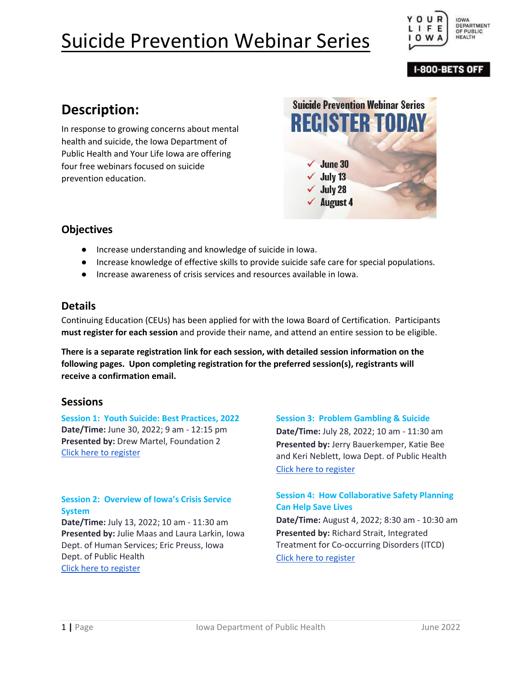

#### **I-800-BETS OFF**

# **Description:**

In response to growing concerns about mental health and suicide, the Iowa Department of Public Health and Your Life Iowa are offering four free webinars focused on suicide prevention education.

**Suicide Prevention Webinar Series REGISTER TODAY**  $\checkmark$  June 30  $\checkmark$  July 13  $\checkmark$  July 28  $\sqrt{\phantom{a}}$  August 4

### **Objectives**

- Increase understanding and knowledge of suicide in Iowa.
- Increase knowledge of effective skills to provide suicide safe care for special populations.
- Increase awareness of crisis services and resources available in Iowa.

### **Details**

Continuing Education (CEUs) has been applied for with the Iowa Board of Certification. Participants **must register for each session** and provide their name, and attend an entire session to be eligible.

**There is a separate registration link for each session, with detailed session information on the following pages. Upon completing registration for the preferred session(s), registrants will receive a confirmation email.** 

#### **Sessions**

**Session 1: Youth Suicide: Best Practices, 2022 Date/Time:** June 30, 2022; 9 am - 12:15 pm **Presented by:** Drew Martel, Foundation 2 [Click here to register](https://us02web.zoom.us/webinar/register/WN_b_XU37nXS7SxKAWfyuHAyg)

#### **Session 2: Overview of Iowa's Crisis Service System**

**Date/Time:** July 13, 2022; 10 am - 11:30 am **Presented by:** Julie Maas and Laura Larkin, Iowa Dept. of Human Services; Eric Preuss, Iowa Dept. of Public Health [Click here to register](https://us02web.zoom.us/webinar/register/WN_PXzEOmuuSja6IzZLxkXvIg)

#### **Session 3: Problem Gambling & Suicide**

**Date/Time:** July 28, 2022; 10 am - 11:30 am **Presented by:** Jerry Bauerkemper, Katie Bee and Keri Neblett, Iowa Dept. of Public Health [Click here to register](https://us02web.zoom.us/webinar/register/WN_Lm3rgC0QQHKBGexFMOEpMg)

#### **Session 4: How Collaborative Safety Planning Can Help Save Lives**

**Date/Time:** August 4, 2022; 8:30 am - 10:30 am **Presented by:** Richard Strait, Integrated Treatment for Co-occurring Disorders (ITCD) [Click here to register](https://us02web.zoom.us/webinar/register/WN_cR7pq_LYSgKODQ-Rco5DMQ)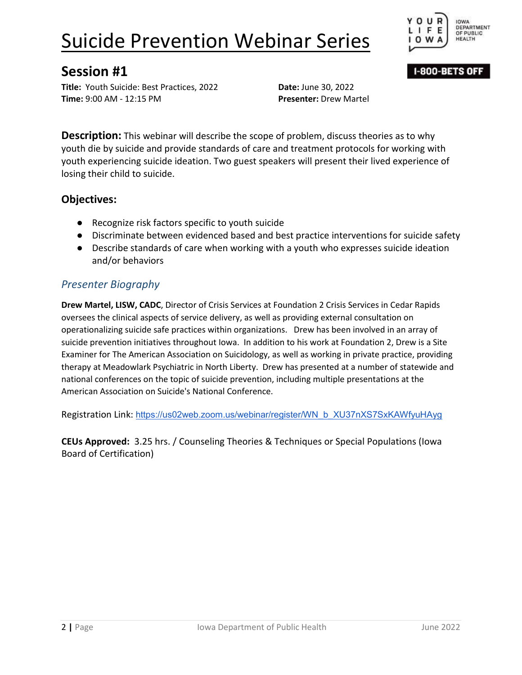

I-800-BETS OFF

## **Session #1**

**Title:** Youth Suicide: Best Practices, 2022 **Date:** June 30, 2022 **Time:** 9:00 AM - 12:15 PM **Presenter:** Drew Martel

**Description:** This webinar will describe the scope of problem, discuss theories as to why youth die by suicide and provide standards of care and treatment protocols for working with youth experiencing suicide ideation. Two guest speakers will present their lived experience of losing their child to suicide.

## **Objectives:**

- Recognize risk factors specific to youth suicide
- Discriminate between evidenced based and best practice interventions for suicide safety
- Describe standards of care when working with a youth who expresses suicide ideation and/or behaviors

## *Presenter Biography*

**Drew Martel, LISW, CADC**, Director of Crisis Services at Foundation 2 Crisis Services in Cedar Rapids oversees the clinical aspects of service delivery, as well as providing external consultation on operationalizing suicide safe practices within organizations. Drew has been involved in an array of suicide prevention initiatives throughout Iowa. In addition to his work at Foundation 2, Drew is a Site Examiner for The American Association on Suicidology, as well as working in private practice, providing therapy at Meadowlark Psychiatric in North Liberty. Drew has presented at a number of statewide and national conferences on the topic of suicide prevention, including multiple presentations at the American Association on Suicide's National Conference.

Registration Link: [https://us02web.zoom.us/webinar/register/WN\\_b\\_XU37nXS7SxKAWfyuHAyg](https://us02web.zoom.us/webinar/register/WN_b_XU37nXS7SxKAWfyuHAyg)

**CEUs Approved:** 3.25 hrs. / Counseling Theories & Techniques or Special Populations (Iowa Board of Certification)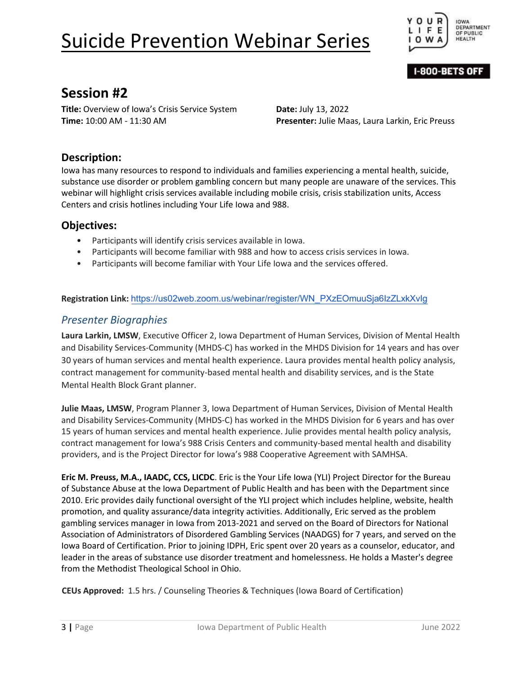

I-800-BETS OFF

# **Session #2**

**Title:** Overview of Iowa's Crisis Service System **Date:** July 13, 2022

**Time:** 10:00 AM - 11:30 AM **Presenter:** Julie Maas, Laura Larkin, Eric Preuss

### **Description:**

Iowa has many resources to respond to individuals and families experiencing a mental health, suicide, substance use disorder or problem gambling concern but many people are unaware of the services. This webinar will highlight crisis services available including mobile crisis, crisis stabilization units, Access Centers and crisis hotlines including Your Life Iowa and 988.

### **Objectives:**

- Participants will identify crisis services available in Iowa.
- Participants will become familiar with 988 and how to access crisis services in Iowa.
- Participants will become familiar with Your Life Iowa and the services offered.

#### **Registration Link:** [https://us02web.zoom.us/webinar/register/WN\\_PXzEOmuuSja6IzZLxkXvIg](https://us02web.zoom.us/webinar/register/WN_PXzEOmuuSja6IzZLxkXvIg)

### *Presenter Biographies*

**Laura Larkin, LMSW**, Executive Officer 2, Iowa Department of Human Services, Division of Mental Health and Disability Services-Community (MHDS-C) has worked in the MHDS Division for 14 years and has over 30 years of human services and mental health experience. Laura provides mental health policy analysis, contract management for community-based mental health and disability services, and is the State Mental Health Block Grant planner.

**Julie Maas, LMSW**, Program Planner 3, Iowa Department of Human Services, Division of Mental Health and Disability Services-Community (MHDS-C) has worked in the MHDS Division for 6 years and has over 15 years of human services and mental health experience. Julie provides mental health policy analysis, contract management for Iowa's 988 Crisis Centers and community-based mental health and disability providers, and is the Project Director for Iowa's 988 Cooperative Agreement with SAMHSA.

**Eric M. Preuss, M.A., IAADC, CCS, LICDC**. Eric is the Your Life Iowa (YLI) Project Director for the Bureau of Substance Abuse at the Iowa Department of Public Health and has been with the Department since 2010. Eric provides daily functional oversight of the YLI project which includes helpline, website, health promotion, and quality assurance/data integrity activities. Additionally, Eric served as the problem gambling services manager in Iowa from 2013-2021 and served on the Board of Directors for National Association of Administrators of Disordered Gambling Services (NAADGS) for 7 years, and served on the Iowa Board of Certification. Prior to joining IDPH, Eric spent over 20 years as a counselor, educator, and leader in the areas of substance use disorder treatment and homelessness. He holds a Master's degree from the Methodist Theological School in Ohio.

**CEUs Approved:** 1.5 hrs. / Counseling Theories & Techniques (Iowa Board of Certification)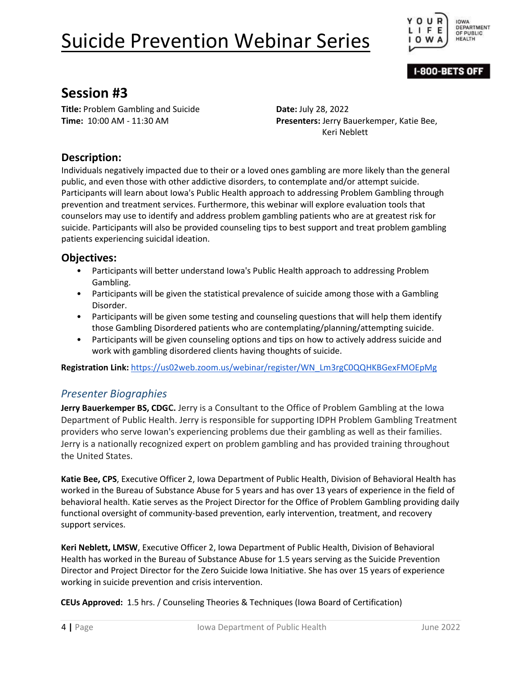

I-800-BETS OFF

## **Session #3**

**Title:** Problem Gambling and Suicide **Date:** July 28, 2022

**Time:** 10:00 AM - 11:30 AM **Presenters:** Jerry Bauerkemper, Katie Bee, Keri Neblett

### **Description:**

Individuals negatively impacted due to their or a loved ones gambling are more likely than the general public, and even those with other addictive disorders, to contemplate and/or attempt suicide. Participants will learn about Iowa's Public Health approach to addressing Problem Gambling through prevention and treatment services. Furthermore, this webinar will explore evaluation tools that counselors may use to identify and address problem gambling patients who are at greatest risk for suicide. Participants will also be provided counseling tips to best support and treat problem gambling patients experiencing suicidal ideation.

### **Objectives:**

- Participants will better understand Iowa's Public Health approach to addressing Problem Gambling.
- Participants will be given the statistical prevalence of suicide among those with a Gambling Disorder.
- Participants will be given some testing and counseling questions that will help them identify those Gambling Disordered patients who are contemplating/planning/attempting suicide.
- Participants will be given counseling options and tips on how to actively address suicide and work with gambling disordered clients having thoughts of suicide.

**Registration Link:** https://us02web.zoom.us/webinar/register/WN\_Lm3rgC0QQHKBGexFMOEpMg

### *Presenter Bio[graphies](https://us02web.zoom.us/webinar/register/WN_Lm3rgC0QQHKBGexFMOEpMg)*

**Jerry Bauerkemper BS, CDGC.** Jerry is a Consultant to the Office of Problem Gambling at the Iowa Department of Public Health. Jerry is responsible for supporting IDPH Problem Gambling Treatment providers who serve Iowan's experiencing problems due their gambling as well as their families. Jerry is a nationally recognized expert on problem gambling and has provided training throughout the United States.

**Katie Bee, CPS**, Executive Officer 2, Iowa Department of Public Health, Division of Behavioral Health has worked in the Bureau of Substance Abuse for 5 years and has over 13 years of experience in the field of behavioral health. Katie serves as the Project Director for the Office of Problem Gambling providing daily functional oversight of community-based prevention, early intervention, treatment, and recovery support services.

**Keri Neblett, LMSW**, Executive Officer 2, Iowa Department of Public Health, Division of Behavioral Health has worked in the Bureau of Substance Abuse for 1.5 years serving as the Suicide Prevention Director and Project Director for the Zero Suicide Iowa Initiative. She has over 15 years of experience working in suicide prevention and crisis intervention.

**CEUs Approved:** 1.5 hrs. / Counseling Theories & Techniques (Iowa Board of Certification)